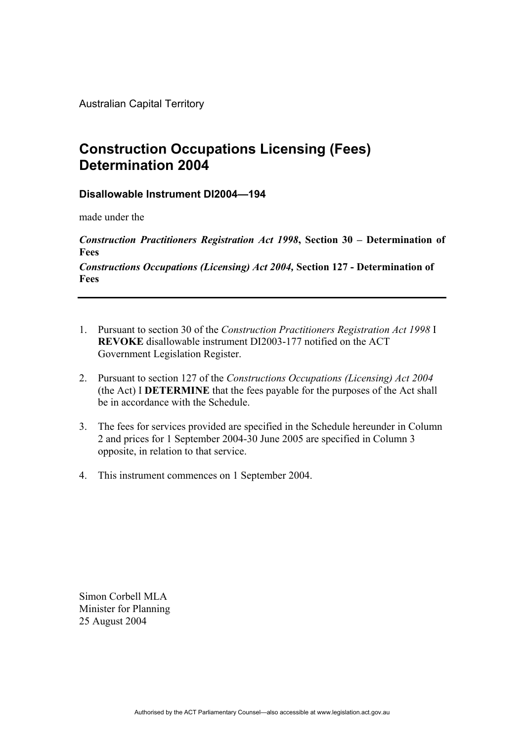Australian Capital Territory

## **Construction Occupations Licensing (Fees) Determination 2004**

## **Disallowable Instrument DI2004—194**

made under the

*Construction Practitioners Registration Act 1998***, Section 30 – Determination of Fees** 

*Constructions Occupations (Licensing) Act 2004,* **Section 127 - Determination of Fees** 

- 1. Pursuant to section 30 of the *Construction Practitioners Registration Act 1998* I **REVOKE** disallowable instrument DI2003-177 notified on the ACT Government Legislation Register.
- 2. Pursuant to section 127 of the *Constructions Occupations (Licensing) Act 2004*  (the Act) I **DETERMINE** that the fees payable for the purposes of the Act shall be in accordance with the Schedule.
- 3. The fees for services provided are specified in the Schedule hereunder in Column 2 and prices for 1 September 2004-30 June 2005 are specified in Column 3 opposite, in relation to that service.
- 4. This instrument commences on 1 September 2004.

Simon Corbell MLA Minister for Planning 25 August 2004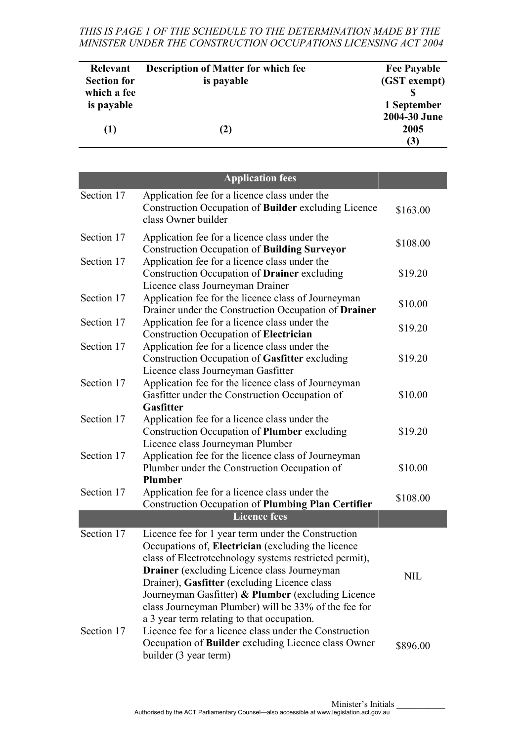*THIS IS PAGE 1 OF THE SCHEDULE TO THE DETERMINATION MADE BY THE MINISTER UNDER THE CONSTRUCTION OCCUPATIONS LICENSING ACT 2004* 

| Relevant           | <b>Description of Matter for which fee</b> | <b>Fee Payable</b> |
|--------------------|--------------------------------------------|--------------------|
| <b>Section for</b> | is payable                                 | (GST exempt)       |
| which a fee        |                                            |                    |
| is payable         |                                            | 1 September        |
|                    |                                            | 2004-30 June       |
| (1)                | (2)                                        | 2005               |
|                    |                                            | (3)                |

|                          | <b>Application fees</b>                                                                                                                                                                                                                                                                                                                                                                                                                                                                        |            |
|--------------------------|------------------------------------------------------------------------------------------------------------------------------------------------------------------------------------------------------------------------------------------------------------------------------------------------------------------------------------------------------------------------------------------------------------------------------------------------------------------------------------------------|------------|
| Section 17               | Application fee for a licence class under the<br>Construction Occupation of <b>Builder</b> excluding Licence<br>class Owner builder                                                                                                                                                                                                                                                                                                                                                            | \$163.00   |
| Section 17               | Application fee for a licence class under the<br><b>Construction Occupation of Building Surveyor</b>                                                                                                                                                                                                                                                                                                                                                                                           | \$108.00   |
| Section 17               | Application fee for a licence class under the<br>Construction Occupation of <b>Drainer</b> excluding<br>Licence class Journeyman Drainer                                                                                                                                                                                                                                                                                                                                                       | \$19.20    |
| Section 17               | Application fee for the licence class of Journeyman<br>Drainer under the Construction Occupation of Drainer                                                                                                                                                                                                                                                                                                                                                                                    | \$10.00    |
| Section 17               | Application fee for a licence class under the<br>Construction Occupation of Electrician                                                                                                                                                                                                                                                                                                                                                                                                        | \$19.20    |
| Section 17               | Application fee for a licence class under the<br>Construction Occupation of Gasfitter excluding<br>Licence class Journeyman Gasfitter                                                                                                                                                                                                                                                                                                                                                          | \$19.20    |
| Section 17               | Application fee for the licence class of Journeyman<br>Gasfitter under the Construction Occupation of<br><b>Gasfitter</b>                                                                                                                                                                                                                                                                                                                                                                      | \$10.00    |
| Section 17               | Application fee for a licence class under the<br>Construction Occupation of Plumber excluding<br>Licence class Journeyman Plumber                                                                                                                                                                                                                                                                                                                                                              | \$19.20    |
| Section 17               | Application fee for the licence class of Journeyman<br>Plumber under the Construction Occupation of<br>Plumber                                                                                                                                                                                                                                                                                                                                                                                 | \$10.00    |
| Section 17               | Application fee for a licence class under the<br><b>Construction Occupation of Plumbing Plan Certifier</b>                                                                                                                                                                                                                                                                                                                                                                                     | \$108.00   |
|                          | <b>Licence fees</b>                                                                                                                                                                                                                                                                                                                                                                                                                                                                            |            |
| Section 17<br>Section 17 | Licence fee for 1 year term under the Construction<br>Occupations of, Electrician (excluding the licence<br>class of Electrotechnology systems restricted permit),<br><b>Drainer</b> (excluding Licence class Journeyman<br>Drainer), Gasfitter (excluding Licence class<br>Journeyman Gasfitter) & Plumber (excluding Licence<br>class Journeyman Plumber) will be 33% of the fee for<br>a 3 year term relating to that occupation.<br>Licence fee for a licence class under the Construction | <b>NIL</b> |
|                          | Occupation of <b>Builder</b> excluding Licence class Owner<br>builder (3 year term)                                                                                                                                                                                                                                                                                                                                                                                                            | \$896.00   |

Minister's Initials Authorised by the ACT Parliamentary Counsel—also accessible at www.legislation.act.gov.au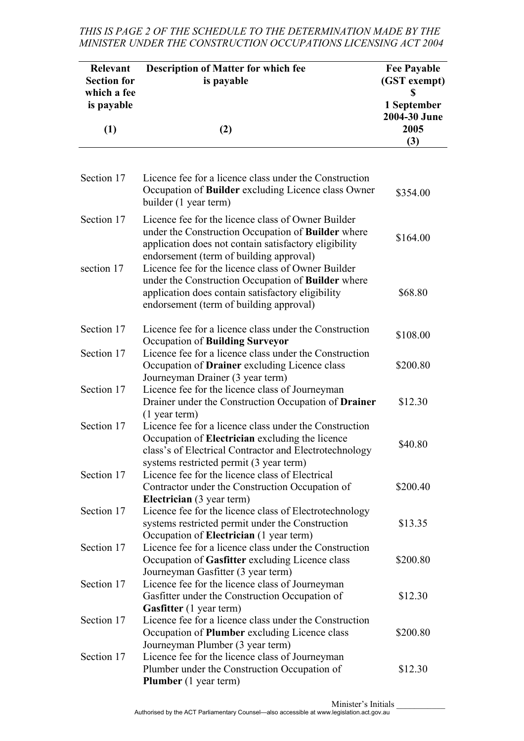## *THIS IS PAGE 2 OF THE SCHEDULE TO THE DETERMINATION MADE BY THE MINISTER UNDER THE CONSTRUCTION OCCUPATIONS LICENSING ACT 2004*

| <b>Relevant</b><br><b>Section for</b><br>which a fee<br>is payable | <b>Description of Matter for which fee</b><br>is payable                                                                                                                                                       |                                            |
|--------------------------------------------------------------------|----------------------------------------------------------------------------------------------------------------------------------------------------------------------------------------------------------------|--------------------------------------------|
| (1)                                                                | (2)                                                                                                                                                                                                            | 1 September<br>2004-30 June<br>2005<br>(3) |
|                                                                    |                                                                                                                                                                                                                |                                            |
| Section 17                                                         | Licence fee for a licence class under the Construction<br>Occupation of Builder excluding Licence class Owner<br>builder (1 year term)                                                                         | \$354.00                                   |
| Section 17                                                         | Licence fee for the licence class of Owner Builder<br>under the Construction Occupation of Builder where<br>application does not contain satisfactory eligibility<br>endorsement (term of building approval)   | \$164.00                                   |
| section 17                                                         | Licence fee for the licence class of Owner Builder<br>under the Construction Occupation of Builder where<br>application does contain satisfactory eligibility<br>endorsement (term of building approval)       | \$68.80                                    |
| Section 17                                                         | Licence fee for a licence class under the Construction<br>Occupation of Building Surveyor                                                                                                                      | \$108.00                                   |
| Section 17                                                         | Licence fee for a licence class under the Construction<br>Occupation of <b>Drainer</b> excluding Licence class<br>Journeyman Drainer (3 year term)                                                             | \$200.80                                   |
| Section 17                                                         | Licence fee for the licence class of Journeyman<br>Drainer under the Construction Occupation of Drainer<br>$(1$ year term)                                                                                     | \$12.30                                    |
| Section 17                                                         | Licence fee for a licence class under the Construction<br>Occupation of Electrician excluding the licence<br>class's of Electrical Contractor and Electrotechnology<br>systems restricted permit (3 year term) | \$40.80                                    |
| Section 17                                                         | Licence fee for the licence class of Electrical<br>Contractor under the Construction Occupation of<br><b>Electrician</b> (3 year term)                                                                         | \$200.40                                   |
| Section 17                                                         | Licence fee for the licence class of Electrotechnology<br>systems restricted permit under the Construction<br>Occupation of Electrician (1 year term)                                                          | \$13.35                                    |
| Section 17                                                         | Licence fee for a licence class under the Construction<br>Occupation of Gasfitter excluding Licence class<br>Journeyman Gasfitter (3 year term)                                                                | \$200.80                                   |
| Section 17                                                         | Licence fee for the licence class of Journeyman<br>Gasfitter under the Construction Occupation of<br><b>Gasfitter</b> (1 year term)                                                                            | \$12.30                                    |
| Section 17                                                         | Licence fee for a licence class under the Construction<br>Occupation of Plumber excluding Licence class                                                                                                        | \$200.80                                   |
| Section 17                                                         | Journeyman Plumber (3 year term)<br>Licence fee for the licence class of Journeyman<br>Plumber under the Construction Occupation of<br><b>Plumber</b> (1 year term)                                            | \$12.30                                    |